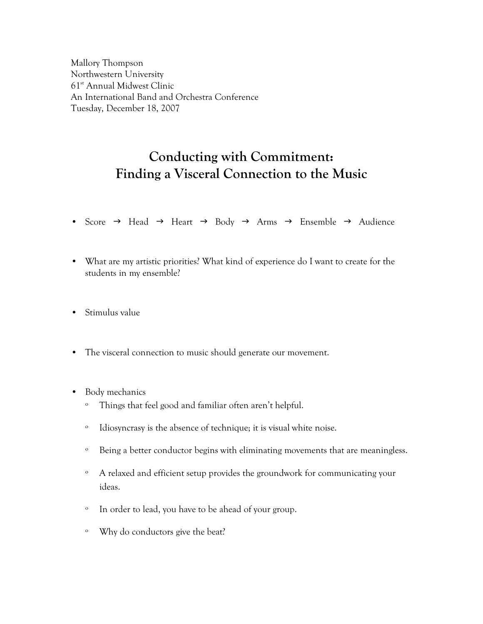Mallory Thompson Northwestern University 61st Annual Midwest Clinic An International Band and Orchestra Conference Tuesday, December 18, 2007

# **Conducting with Commitment: Finding a Visceral Connection to the Music**

- Score  $\rightarrow$  Head  $\rightarrow$  Heart  $\rightarrow$  Body  $\rightarrow$  Arms  $\rightarrow$  Ensemble  $\rightarrow$  Audience
- What are my artistic priorities? What kind of experience do I want to create for the students in my ensemble?
- Stimulus value
- The visceral connection to music should generate our movement.
- Body mechanics
	- º Things that feel good and familiar often aren't helpful.
	- º Idiosyncrasy is the absence of technique; it is visual white noise.
	- º Being a better conductor begins with eliminating movements that are meaningless.
	- º A relaxed and efficient setup provides the groundwork for communicating your ideas.
	- º In order to lead, you have to be ahead of your group.
	- º Why do conductors give the beat?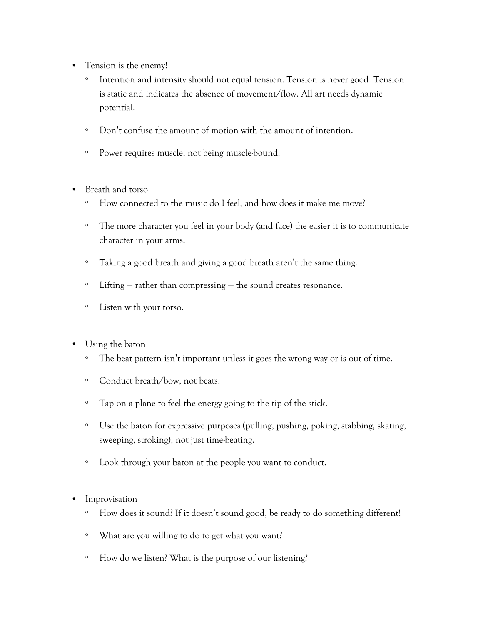- Tension is the enemy!
	- º Intention and intensity should not equal tension. Tension is never good. Tension is static and indicates the absence of movement/flow. All art needs dynamic potential.
	- º Don't confuse the amount of motion with the amount of intention.
	- º Power requires muscle, not being muscle-bound.
- Breath and torso
	- º How connected to the music do I feel, and how does it make me move?
	- º The more character you feel in your body (and face) the easier it is to communicate character in your arms.
	- º Taking a good breath and giving a good breath aren't the same thing.
	- º Lifting rather than compressing the sound creates resonance.
	- º Listen with your torso.
- Using the baton
	- º The beat pattern isn't important unless it goes the wrong way or is out of time.
	- º Conduct breath/bow, not beats.
	- º Tap on a plane to feel the energy going to the tip of the stick.
	- º Use the baton for expressive purposes (pulling, pushing, poking, stabbing, skating, sweeping, stroking), not just time-beating.
	- º Look through your baton at the people you want to conduct.
- Improvisation
	- º How does it sound? If it doesn't sound good, be ready to do something different!
	- º What are you willing to do to get what you want?
	- º How do we listen? What is the purpose of our listening?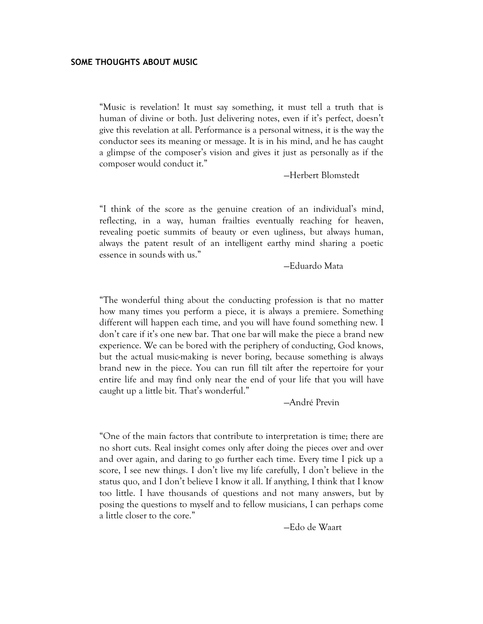### **SOME THOUGHTS ABOUT MUSIC**

"Music is revelation! It must say something, it must tell a truth that is human of divine or both. Just delivering notes, even if it's perfect, doesn't give this revelation at all. Performance is a personal witness, it is the way the conductor sees its meaning or message. It is in his mind, and he has caught a glimpse of the composer's vision and gives it just as personally as if the composer would conduct it."

—Herbert Blomstedt

"I think of the score as the genuine creation of an individual's mind, reflecting, in a way, human frailties eventually reaching for heaven, revealing poetic summits of beauty or even ugliness, but always human, always the patent result of an intelligent earthy mind sharing a poetic essence in sounds with us."

—Eduardo Mata

"The wonderful thing about the conducting profession is that no matter how many times you perform a piece, it is always a premiere. Something different will happen each time, and you will have found something new. I don't care if it's one new bar. That one bar will make the piece a brand new experience. We can be bored with the periphery of conducting, God knows, but the actual music-making is never boring, because something is always brand new in the piece. You can run fill tilt after the repertoire for your entire life and may find only near the end of your life that you will have caught up a little bit. That's wonderful."

—André Previn

"One of the main factors that contribute to interpretation is time; there are no short cuts. Real insight comes only after doing the pieces over and over and over again, and daring to go further each time. Every time I pick up a score, I see new things. I don't live my life carefully, I don't believe in the status quo, and I don't believe I know it all. If anything, I think that I know too little. I have thousands of questions and not many answers, but by posing the questions to myself and to fellow musicians, I can perhaps come a little closer to the core."

—Edo de Waart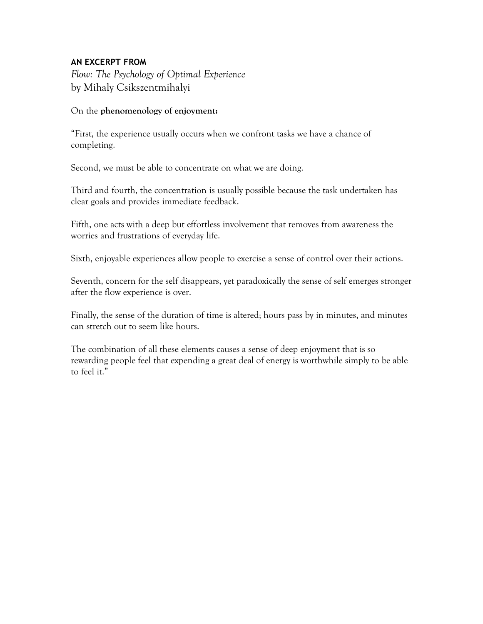## **AN EXCERPT FROM**

*Flow: The Psychology of Optimal Experience* by Mihaly Csikszentmihalyi

## On the **phenomenology of enjoyment:**

"First, the experience usually occurs when we confront tasks we have a chance of completing.

Second, we must be able to concentrate on what we are doing.

Third and fourth, the concentration is usually possible because the task undertaken has clear goals and provides immediate feedback.

Fifth, one acts with a deep but effortless involvement that removes from awareness the worries and frustrations of everyday life.

Sixth, enjoyable experiences allow people to exercise a sense of control over their actions.

Seventh, concern for the self disappears, yet paradoxically the sense of self emerges stronger after the flow experience is over.

Finally, the sense of the duration of time is altered; hours pass by in minutes, and minutes can stretch out to seem like hours.

The combination of all these elements causes a sense of deep enjoyment that is so rewarding people feel that expending a great deal of energy is worthwhile simply to be able to feel it."